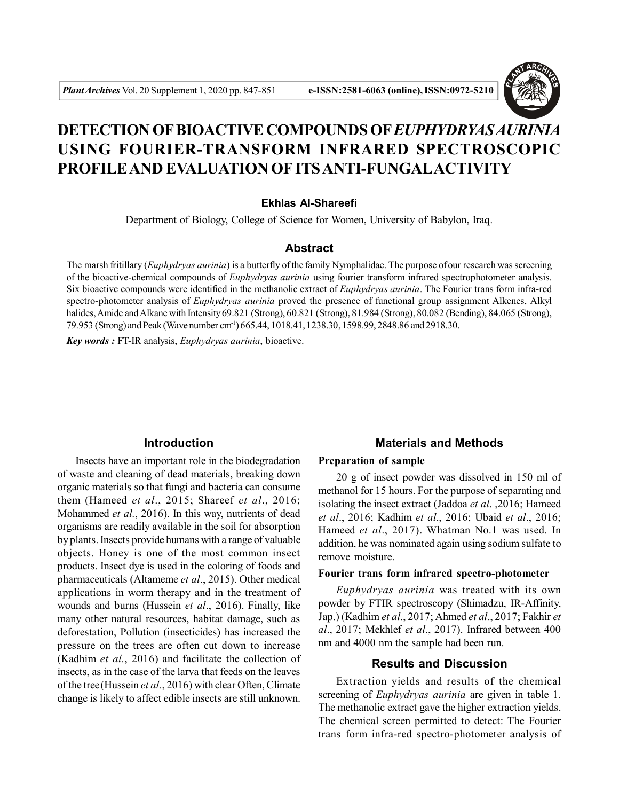

# **DETECTION OF BIOACTIVE COMPOUNDS OF***EUPHYDRYAS AURINIA* **USING FOURIER-TRANSFORM INFRARED SPECTROSCOPIC PROFILE AND EVALUATION OF ITS ANTI-FUNGALACTIVITY**

# **Ekhlas Al-Shareefi**

Department of Biology, College of Science for Women, University of Babylon, Iraq.

# **Abstract**

The marsh fritillary (*Euphydryas aurinia*) is a butterfly of the family Nymphalidae. The purpose of our research was screening of the bioactive-chemical compounds of *Euphydryas aurinia* using fourier transform infrared spectrophotometer analysis. Six bioactive compounds were identified in the methanolic extract of *Euphydryas aurinia*. The Fourier trans form infra-red spectro-photometer analysis of *Euphydryas aurinia* proved the presence of functional group assignment Alkenes, Alkyl halides, Amide and Alkane with Intensity 69.821 (Strong), 60.821 (Strong), 81.984 (Strong), 80.082 (Bending), 84.065 (Strong), 79.953 (Strong) and Peak (Wave number cm-1) 665.44, 1018.41, 1238.30, 1598.99, 2848.86 and 2918.30.

*Key words :* FT-IR analysis, *Euphydryas aurinia*, bioactive.

# **Introduction**

Insects have an important role in the biodegradation of waste and cleaning of dead materials, breaking down organic materials so that fungi and bacteria can consume them (Hameed *et al*., 2015; Shareef *et al*., 2016; Mohammed *et al.*, 2016). In this way, nutrients of dead organisms are readily available in the soil for absorption by plants. Insects provide humans with a range of valuable objects. Honey is one of the most common insect products. Insect dye is used in the coloring of foods and pharmaceuticals (Altameme *et al*., 2015). Other medical applications in worm therapy and in the treatment of wounds and burns (Hussein *et al*., 2016). Finally, like many other natural resources, habitat damage, such as deforestation, Pollution (insecticides) has increased the pressure on the trees are often cut down to increase (Kadhim *et al.*, 2016) and facilitate the collection of insects, as in the case of the larva that feeds on the leaves of the tree(Hussein *et al.*, 2016) with clear Often, Climate change is likely to affect edible insects are still unknown.

### **Materials and Methods**

## **Preparation of sample**

20 g of insect powder was dissolved in 150 ml of methanol for 15 hours. For the purpose of separating and isolating the insect extract (Jaddoa *et al*. ,2016; Hameed *et al*., 2016; Kadhim *et al*., 2016; Ubaid *et al*., 2016; Hameed *et al*., 2017). Whatman No.1 was used. In addition, he was nominated again using sodium sulfate to remove moisture.

#### **Fourier trans form infrared spectro-photometer**

*Euphydryas aurinia* was treated with its own powder by FTIR spectroscopy (Shimadzu, IR-Affinity, Jap.) (Kadhim *et al*., 2017; Ahmed *et al*., 2017; Fakhir *et al*., 2017; Mekhlef *et al*., 2017). Infrared between 400 nm and 4000 nm the sample had been run.

# **Results and Discussion**

Extraction yields and results of the chemical screening of *Euphydryas aurinia* are given in table 1. The methanolic extract gave the higher extraction yields. The chemical screen permitted to detect: The Fourier trans form infra-red spectro-photometer analysis of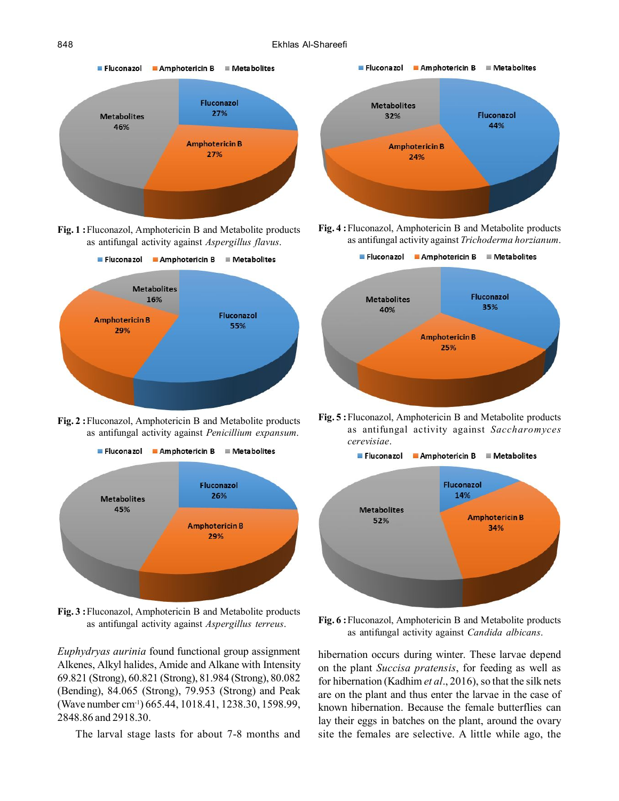#### 848 Ekhlas Al-Shareefi



**Fig. 1 :**Fluconazol, Amphotericin B and Metabolite products as antifungal activity against *Aspergillus flavus*.



**Fig. 2 :**Fluconazol, Amphotericin B and Metabolite products as antifungal activity against *Penicillium expansum*.



**Fig. 3 :**Fluconazol, Amphotericin B and Metabolite products as antifungal activity against *Aspergillus terreus*.

*Euphydryas aurinia* found functional group assignment Alkenes, Alkyl halides, Amide and Alkane with Intensity 69.821 (Strong), 60.821 (Strong), 81.984 (Strong), 80.082 (Bending), 84.065 (Strong), 79.953 (Strong) and Peak (Wave number cm-1) 665.44, 1018.41, 1238.30, 1598.99, 2848.86 and 2918.30.

The larval stage lasts for about 7-8 months and







**Fig. 5 :**Fluconazol, Amphotericin B and Metabolite products as antifungal activity against *Saccharomyces cerevisiae*.



**Fig. 6 :**Fluconazol, Amphotericin B and Metabolite products as antifungal activity against *Candida albicans*.

hibernation occurs during winter. These larvae depend on the plant *Succisa pratensis*, for feeding as well as for hibernation (Kadhim *et al*., 2016), so that the silk nets are on the plant and thus enter the larvae in the case of known hibernation. Because the female butterflies can lay their eggs in batches on the plant, around the ovary site the females are selective. A little while ago, the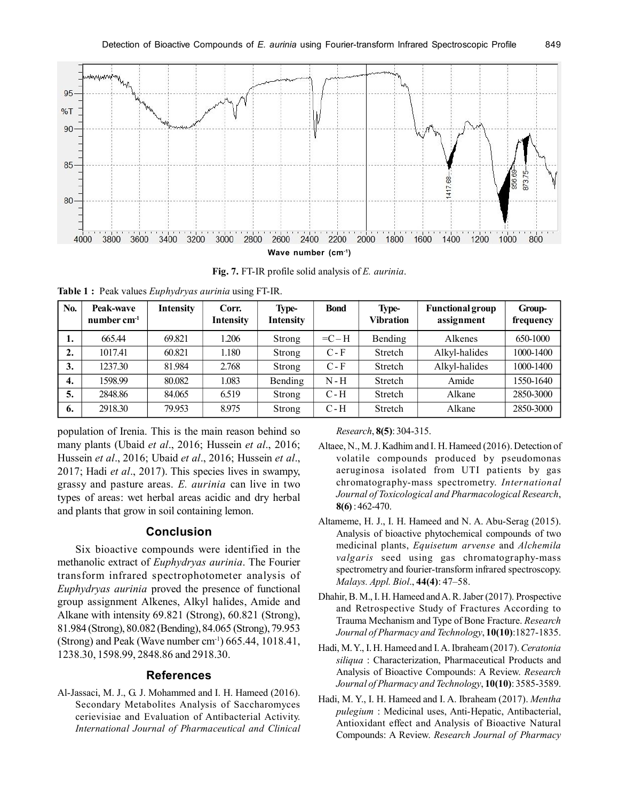

**Fig. 7.** FT-IR profile solid analysis of *E. aurinia*.

**Table 1 :** Peak values *Euphydryas aurinia* using FT-IR.

| No.              | Peak-wave<br>number $cm-1$ | <b>Intensity</b> | Corr.<br>Intensity | Type-<br><b>Intensity</b> | <b>Bond</b> | Type-<br><b>Vibration</b> | <b>Functional group</b><br>assignment | Group-<br>frequency |
|------------------|----------------------------|------------------|--------------------|---------------------------|-------------|---------------------------|---------------------------------------|---------------------|
| 1.               | 665.44                     | 69.821           | 1.206              | Strong                    | $=C-H$      | Bending                   | Alkenes                               | 650-1000            |
| $\overline{2}$ . | 1017.41                    | 60.821           | .180               | Strong                    | $C - F$     | Stretch                   | Alkyl-halides                         | 1000-1400           |
| 3.               | 1237.30                    | 81.984           | 2.768              | Strong                    | $C - F$     | Stretch                   | Alkyl-halides                         | 1000-1400           |
| 4.               | 1598.99                    | 80.082           | 1.083              | Bending                   | $N-H$       | Stretch                   | Amide                                 | 1550-1640           |
| 5.               | 2848.86                    | 84.065           | 6.519              | Strong                    | $C - H$     | Stretch                   | Alkane                                | 2850-3000           |
| 6.               | 2918.30                    | 79.953           | 8.975              | Strong                    | $C-H$       | Stretch                   | Alkane                                | 2850-3000           |

population of Irenia. This is the main reason behind so many plants (Ubaid *et al*., 2016; Hussein *et al*., 2016; Hussein *et al*., 2016; Ubaid *et al*., 2016; Hussein *et al*., 2017; Hadi *et al*., 2017). This species lives in swampy, grassy and pasture areas. *E. aurinia* can live in two types of areas: wet herbal areas acidic and dry herbal and plants that grow in soil containing lemon.

# **Conclusion**

Six bioactive compounds were identified in the methanolic extract of *Euphydryas aurinia*. The Fourier transform infrared spectrophotometer analysis of *Euphydryas aurinia* proved the presence of functional group assignment Alkenes, Alkyl halides, Amide and Alkane with intensity 69.821 (Strong), 60.821 (Strong), 81.984 (Strong), 80.082 (Bending), 84.065 (Strong), 79.953 (Strong) and Peak (Wave number  $cm<sup>-1</sup>$ ) 665.44, 1018.41, 1238.30, 1598.99, 2848.86 and 2918.30.

# **References**

Al-Jassaci, M. J., G. J. Mohammed and I. H. Hameed (2016). Secondary Metabolites Analysis of Saccharomyces cerievisiae and Evaluation of Antibacterial Activity. *International Journal of Pharmaceutical and Clinical*

#### *Research*, **8(5)**: 304-315.

- Altaee, N., M. J. Kadhim and I. H. Hameed (2016). Detection of volatile compounds produced by pseudomonas aeruginosa isolated from UTI patients by gas chromatography-mass spectrometry. *International Journal of Toxicological and Pharmacological Research*, **8(6)** : 462-470.
- Altameme, H. J., I. H. Hameed and N. A. Abu-Serag (2015). Analysis of bioactive phytochemical compounds of two medicinal plants, *Equisetum arvense* and *Alchemila valgaris* seed using gas chromatography-mass spectrometry and fourier-transform infrared spectroscopy. *Malays. Appl. Biol*., **44(4)**: 47–58.
- Dhahir, B. M., I. H. Hameed and A. R. Jaber (2017). Prospective and Retrospective Study of Fractures According to Trauma Mechanism and Type of Bone Fracture. *Research Journal of Pharmacy and Technology*, **10(10)**:1827-1835.
- Hadi, M. Y., I. H. Hameed and I. A. Ibraheam (2017). *Ceratonia siliqua* : Characterization, Pharmaceutical Products and Analysis of Bioactive Compounds: A Review. *Research Journal of Pharmacy and Technology*, **10(10)**: 3585-3589.
- Hadi, M. Y., I. H. Hameed and I. A. Ibraheam (2017). *Mentha pulegium* : Medicinal uses, Anti-Hepatic, Antibacterial, Antioxidant effect and Analysis of Bioactive Natural Compounds: A Review. *Research Journal of Pharmacy*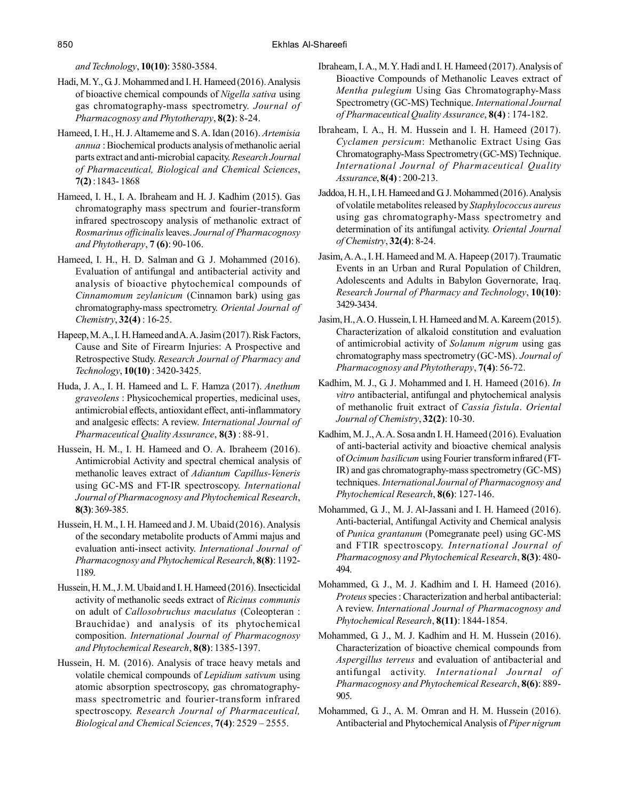*and Technology*, **10(10)**: 3580-3584.

- Hadi, M. Y., G. J. Mohammed and I. H. Hameed (2016). Analysis of bioactive chemical compounds of *Nigella sativa* using gas chromatography-mass spectrometry. *Journal of Pharmacognosy and Phytotherapy*, **8(2)**: 8-24.
- Hameed, I. H., H. J. Altameme and S. A. Idan (2016). *Artemisia annua* : Biochemical products analysis of methanolic aerial parts extract and anti-microbial capacity. *Research Journal of Pharmaceutical, Biological and Chemical Sciences*, **7(2)** : 1843- 1868
- Hameed, I. H., I. A. Ibraheam and H. J. Kadhim (2015). Gas chromatography mass spectrum and fourier-transform infrared spectroscopy analysis of methanolic extract of *Rosmarinus officinalis* leaves. *Journal of Pharmacognosy and Phytotherapy*, **7 (6)**: 90-106.
- Hameed, I. H., H. D. Salman and G. J. Mohammed (2016). Evaluation of antifungal and antibacterial activity and analysis of bioactive phytochemical compounds of *Cinnamomum zeylanicum* (Cinnamon bark) using gas chromatography-mass spectrometry. *Oriental Journal of Chemistry*, **32(4)** : 16-25.
- Hapeep, M. A., I. H. Hameed and A. A. Jasim (2017). Risk Factors, Cause and Site of Firearm Injuries: A Prospective and Retrospective Study. *Research Journal of Pharmacy and Technology*, **10(10)** : 3420-3425.
- Huda, J. A., I. H. Hameed and L. F. Hamza (2017). *Anethum graveolens* : Physicochemical properties, medicinal uses, antimicrobial effects, antioxidant effect, anti-inflammatory and analgesic effects: A review. *International Journal of Pharmaceutical Quality Assurance*, **8(3)** : 88-91.
- Hussein, H. M., I. H. Hameed and O. A. Ibraheem (2016). Antimicrobial Activity and spectral chemical analysis of methanolic leaves extract of *Adiantum Capillus-Veneris* using GC-MS and FT-IR spectroscopy. *International Journal of Pharmacognosy and Phytochemical Research*, **8(3)**: 369-385.
- Hussein, H. M., I. H. Hameed and J. M. Ubaid (2016). Analysis of the secondary metabolite products of Ammi majus and evaluation anti-insect activity. *International Journal of Pharmacognosy and Phytochemical Research*, **8(8)**: 1192- 1189.
- Hussein, H. M., J. M. Ubaid and I. H. Hameed (2016). Insecticidal activity of methanolic seeds extract of *Ricinus communis* on adult of *Callosobruchus maculatus* (Coleopteran : Brauchidae) and analysis of its phytochemical composition. *International Journal of Pharmacognosy and Phytochemical Research*, **8(8)**: 1385-1397.
- Hussein, H. M. (2016). Analysis of trace heavy metals and volatile chemical compounds of *Lepidium sativum* using atomic absorption spectroscopy, gas chromatographymass spectrometric and fourier-transform infrared spectroscopy. *Research Journal of Pharmaceutical, Biological and Chemical Sciences*, **7(4)**: 2529 – 2555.
- Ibraheam, I. A., M. Y. Hadi and I. H. Hameed (2017). Analysis of Bioactive Compounds of Methanolic Leaves extract of *Mentha pulegium* Using Gas Chromatography-Mass Spectrometry (GC-MS) Technique. *International Journal of Pharmaceutical Quality Assurance*, **8(4)** : 174-182.
- Ibraheam, I. A., H. M. Hussein and I. H. Hameed (2017). *Cyclamen persicum*: Methanolic Extract Using Gas Chromatography-Mass Spectrometry (GC-MS) Technique. *International Journal of Pharmaceutical Quality Assurance*, **8(4)** : 200-213.
- Jaddoa, H. H., I. H. Hameed and G. J. Mohammed (2016). Analysis of volatile metabolites released by *Staphylococcus aureus* using gas chromatography-Mass spectrometry and determination of its antifungal activity. *Oriental Journal of Chemistry*, **32(4)**: 8-24.
- Jasim, A. A., I. H. Hameed and M. A. Hapeep (2017). Traumatic Events in an Urban and Rural Population of Children, Adolescents and Adults in Babylon Governorate, Iraq. *Research Journal of Pharmacy and Technology*, **10(10)**: 3429-3434.
- Jasim, H., A. O. Hussein, I. H. Hameed and M. A. Kareem (2015). Characterization of alkaloid constitution and evaluation of antimicrobial activity of *Solanum nigrum* using gas chromatography mass spectrometry (GC-MS). *Journal of Pharmacognosy and Phytotherapy*, **7(4)**: 56-72.
- Kadhim, M. J., G. J. Mohammed and I. H. Hameed (2016). *In vitro* antibacterial, antifungal and phytochemical analysis of methanolic fruit extract of *Cassia fistula*. *Oriental Journal of Chemistry*, **32(2)**: 10-30.
- Kadhim, M. J., A. A. Sosa andn I. H. Hameed (2016). Evaluation of anti-bacterial activity and bioactive chemical analysis of *Ocimum basilicum* using Fourier transform infrared (FT-IR) and gas chromatography-mass spectrometry (GC-MS) techniques. *International Journal of Pharmacognosy and Phytochemical Research*, **8(6)**: 127-146.
- Mohammed, G. J., M. J. Al-Jassani and I. H. Hameed (2016). Anti-bacterial, Antifungal Activity and Chemical analysis of *Punica grantanum* (Pomegranate peel) using GC-MS and FTIR spectroscopy. *International Journal of Pharmacognosy and Phytochemical Research*, **8(3)**: 480- 494.
- Mohammed, G. J., M. J. Kadhim and I. H. Hameed (2016). *Proteus* species : Characterization and herbal antibacterial: A review. *International Journal of Pharmacognosy and Phytochemical Research*, **8(11)**: 1844-1854.
- Mohammed, G. J., M. J. Kadhim and H. M. Hussein (2016). Characterization of bioactive chemical compounds from *Aspergillus terreus* and evaluation of antibacterial and antifungal activity. *International Journal of Pharmacognosy and Phytochemical Research*, **8(6)**: 889- 905.
- Mohammed, G. J., A. M. Omran and H. M. Hussein (2016). Antibacterial and Phytochemical Analysis of *Piper nigrum*